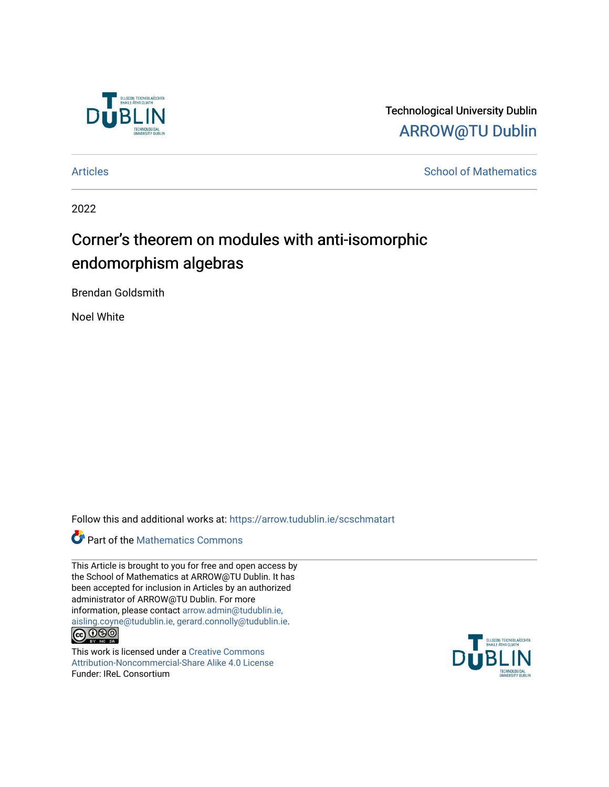

Technological University Dublin [ARROW@TU Dublin](https://arrow.tudublin.ie/) 

[Articles](https://arrow.tudublin.ie/scschmatart) **School of Mathematics** [School of Mathematics](https://arrow.tudublin.ie/scschmat) **School of Mathematics** 

2022

# Corner's theorem on modules with anti-isomorphic endomorphism algebras

Brendan Goldsmith

Noel White

Follow this and additional works at: [https://arrow.tudublin.ie/scschmatart](https://arrow.tudublin.ie/scschmatart?utm_source=arrow.tudublin.ie%2Fscschmatart%2F338&utm_medium=PDF&utm_campaign=PDFCoverPages)

# **Part of the [Mathematics Commons](http://network.bepress.com/hgg/discipline/174?utm_source=arrow.tudublin.ie%2Fscschmatart%2F338&utm_medium=PDF&utm_campaign=PDFCoverPages)**

This Article is brought to you for free and open access by the School of Mathematics at ARROW@TU Dublin. It has been accepted for inclusion in Articles by an authorized administrator of ARROW@TU Dublin. For more information, please contact [arrow.admin@tudublin.ie,](mailto:arrow.admin@tudublin.ie,%20aisling.coyne@tudublin.ie,%20gerard.connolly@tudublin.ie)  [aisling.coyne@tudublin.ie, gerard.connolly@tudublin.ie](mailto:arrow.admin@tudublin.ie,%20aisling.coyne@tudublin.ie,%20gerard.connolly@tudublin.ie).<br>
co 000

This work is licensed under a [Creative Commons](http://creativecommons.org/licenses/by-nc-sa/4.0/) [Attribution-Noncommercial-Share Alike 4.0 License](http://creativecommons.org/licenses/by-nc-sa/4.0/) Funder: IReL Consortium

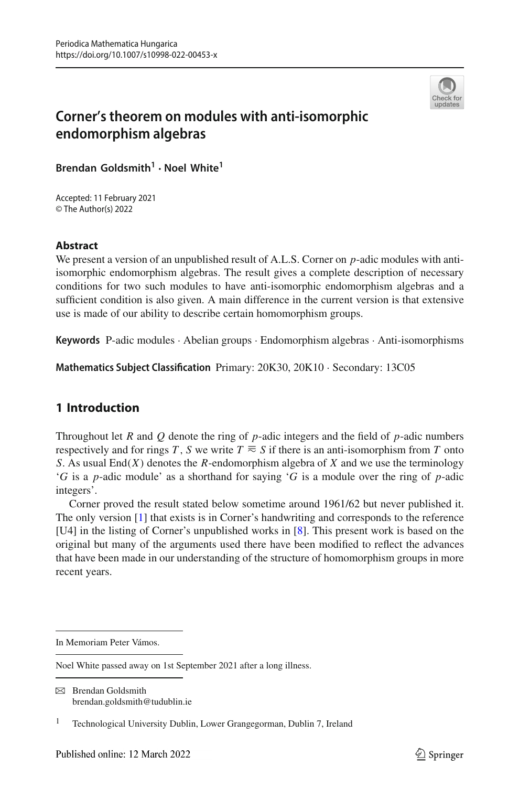

# **Corner's theorem on modules with anti-isomorphic endomorphism algebras**

**Brendan Goldsmith<sup>1</sup> · Noel White<sup>1</sup>**

Accepted: 11 February 2021 © The Author(s) 2022

### **Abstract**

We present a version of an unpublished result of A.L.S. Corner on *p*-adic modules with antiisomorphic endomorphism algebras. The result gives a complete description of necessary conditions for two such modules to have anti-isomorphic endomorphism algebras and a sufficient condition is also given. A main difference in the current version is that extensive use is made of our ability to describe certain homomorphism groups.

**Keywords** P-adic modules · Abelian groups · Endomorphism algebras · Anti-isomorphisms

**Mathematics Subject Classification** Primary: 20K30, 20K10 · Secondary: 13C05

## **1 Introduction**

Throughout let *R* and *Q* denote the ring of *p*-adic integers and the field of *p*-adic numbers respectively and for rings *T*, *S* we write  $T \approx S$  if there is an anti-isomorphism from *T* onto *S*. As usual End(*X*) denotes the *R*-endomorphism algebra of *X* and we use the terminology '*G* is a *p*-adic module' as a shorthand for saying '*G* is a module over the ring of *p*-adic integers'.

<span id="page-1-0"></span>Corner proved the result stated below sometime around 1961/62 but never published it. The only version [\[1\]](#page-13-0) that exists is in Corner's handwriting and corresponds to the reference [U4] in the listing of Corner's unpublished works in [\[8\]](#page-13-1). This present work is based on the original but many of the arguments used there have been modified to reflect the advances that have been made in our understanding of the structure of homomorphism groups in more recent years.

 $\boxtimes$  Brendan Goldsmith brendan.goldsmith@tudublin.ie

In Memoriam Peter Vámos.

Noel White passed away on 1st September 2021 after a long illness.

<sup>&</sup>lt;sup>1</sup> Technological University Dublin, Lower Grangegorman, Dublin 7, Ireland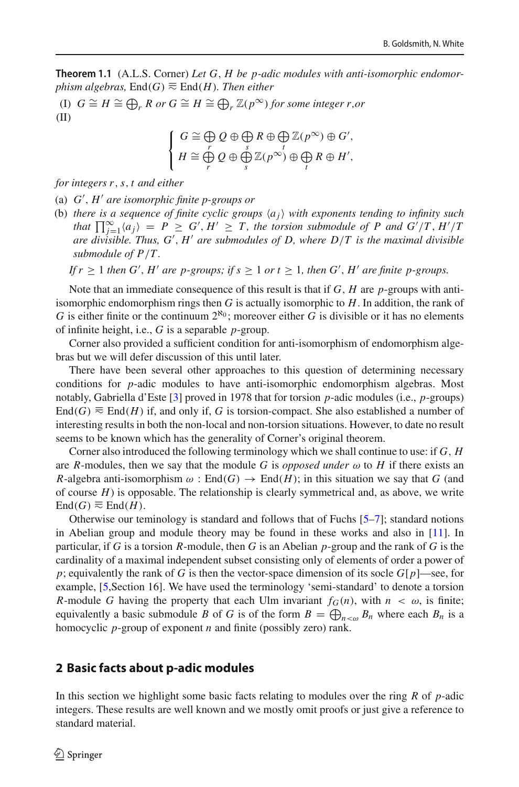**Theorem 1.1** (A.L.S. Corner) *Let G*, *H be p-adic modules with anti-isomorphic endomorphism algebras,*  $End(G)$   $\equiv$   $End(H)$ *. Then either* 

(I)  $G \cong H \cong \bigoplus_r R$  or  $G \cong H \cong \bigoplus_r \mathbb{Z}(p^{\infty})$  for some integer r,or (II)

$$
\left\{\n\begin{array}{l}\nG \cong \bigoplus\limits_{r} Q \oplus \bigoplus\limits_{s} R \oplus \bigoplus\limits_{t} \mathbb{Z}(p^{\infty}) \oplus G', \\
H \cong \bigoplus\limits_{r} Q \oplus \bigoplus\limits_{s} \mathbb{Z}(p^{\infty}) \oplus \bigoplus\limits_{t} R \oplus H',\n\end{array}\n\right.
$$

*for integers r*,*s*, *t and either*

(a) *G* , *H are isomorphic finite p-groups or*

- (b) *there is a sequence of finite cyclic groups*  $\langle a_i \rangle$  *with exponents tending to infinity such that*  $\prod_{i=1}^{\infty} \langle a_i \rangle = P \ge G'$ ,  $H' \ge T$ , the torsion submodule of P and  $G'/T$ ,  $H'/T$ *are divisible. Thus, G* , *H are submodules of D, where D*/*T is the maximal divisible submodule of P*/*T .*
	- *If*  $r \geq 1$  *then G'*, *H'* are *p*-groups; if  $s \geq 1$  *or*  $t \geq 1$ , *then G'*, *H'* are finite *p*-groups.

Note that an immediate consequence of this result is that if *G*, *H* are *p*-groups with antiisomorphic endomorphism rings then *G* is actually isomorphic to *H*. In addition, the rank of *G* is either finite or the continuum  $2^{\aleph_0}$ ; moreover either *G* is divisible or it has no elements of infinite height, i.e., *G* is a separable *p*-group.

Corner also provided a sufficient condition for anti-isomorphism of endomorphism algebras but we will defer discussion of this until later.

There have been several other approaches to this question of determining necessary conditions for *p*-adic modules to have anti-isomorphic endomorphism algebras. Most notably, Gabriella d'Este [\[3](#page-13-2)] proved in 1978 that for torsion *p*-adic modules (i.e., *p*-groups) End(*G*)  $\equiv$  End(*H*) if, and only if, *G* is torsion-compact. She also established a number of interesting results in both the non-local and non-torsion situations. However, to date no result seems to be known which has the generality of Corner's original theorem.

Corner also introduced the following terminology which we shall continue to use: if *G*, *H* are *R*-modules, then we say that the module *G* is *opposed under*  $\omega$  to *H* if there exists an *R*-algebra anti-isomorphism  $\omega$ : End(*G*)  $\rightarrow$  End(*H*); in this situation we say that *G* (and of course *H*) is opposable. The relationship is clearly symmetrical and, as above, we write  $\text{End}(G) \equiv \text{End}(H)$ .

Otherwise our teminology is standard and follows that of Fuchs  $[5-7]$  $[5-7]$ ; standard notions in Abelian group and module theory may be found in these works and also in [\[11\]](#page-13-5). In particular, if *G* is a torsion *R*-module, then *G* is an Abelian *p*-group and the rank of *G* is the cardinality of a maximal independent subset consisting only of elements of order a power of *p*; equivalently the rank of *G* is then the vector-space dimension of its socle  $G[p]$ —see, for example, [\[5,](#page-13-3)Section 16]. We have used the terminology 'semi-standard' to denote a torsion *R*-module *G* having the property that each Ulm invariant  $f_G(n)$ , with  $n < \omega$ , is finite; equivalently a basic submodule *B* of *G* is of the form  $B = \bigoplus_{n < \omega} B_n$  where each  $B_n$  is a homocyclic *p*-group of exponent *n* and finite (possibly zero) rank.

### **2 Basic facts about p-adic modules**

In this section we highlight some basic facts relating to modules over the ring *R* of *p*-adic integers. These results are well known and we mostly omit proofs or just give a reference to standard material.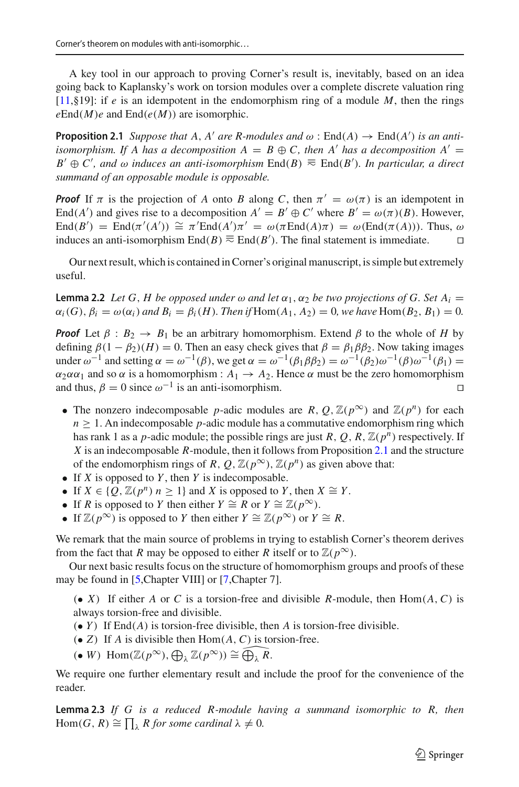A key tool in our approach to proving Corner's result is, inevitably, based on an idea going back to Kaplansky's work on torsion modules over a complete discrete valuation ring [\[11,](#page-13-5)§19]: if *e* is an idempotent in the endomorphism ring of a module *M*, then the rings  $e\text{End}(M)e$  and  $\text{End}(e(M))$  are isomorphic.

<span id="page-3-0"></span>**Proposition 2.1** *Suppose that A, A' are R-modules and*  $\omega$  :  $\text{End}(A) \rightarrow \text{End}(A')$  *is an antiisomorphism. If A has a decomposition A = B*  $\oplus$  *C, then A' has a decomposition A' = B*<sup> $'$ </sup> ⊕ *C*', and  $\omega$  induces an anti-isomorphism End(*B*)  $\equiv$  End(*B*'). In particular, a direct *summand of an opposable module is opposable.*

*Proof* If  $\pi$  is the projection of *A* onto *B* along *C*, then  $\pi' = \omega(\pi)$  is an idempotent in End(*A'*) and gives rise to a decomposition  $A' = B' \oplus C'$  where  $B' = \omega(\pi)(B)$ . However, End $(B')$  = End $(\pi'(A')) \cong \pi'$ End $(A')\pi' = \omega(\pi \text{End}(A)\pi) = \omega(\text{End}(\pi(A)))$ . Thus,  $\omega$ induces an anti-isomorphism End(*B*)  $\equiv$  End(*B*<sup>'</sup>). The final statement is immediate.  $\Box$ 

<span id="page-3-2"></span>Our next result, which is contained in Corner's original manuscript, is simple but extremely useful.

**Lemma 2.2** *Let* G, *H be opposed under*  $\omega$  *and let*  $\alpha_1$ ,  $\alpha_2$  *be two projections of* G. Set  $A_i =$  $\alpha_i(G)$ ,  $\beta_i = \omega(\alpha_i)$  and  $B_i = \beta_i(H)$ *. Then if*  $Hom(A_1, A_2) = 0$ *, we have*  $Hom(B_2, B_1) = 0$ *.* 

*Proof* Let  $\beta$  :  $B_2 \rightarrow B_1$  be an arbitrary homomorphism. Extend  $\beta$  to the whole of *H* by defining  $\beta(1 - \beta_2)(H) = 0$ . Then an easy check gives that  $\beta = \beta_1 \beta \beta_2$ . Now taking images under  $\omega^{-1}$  and setting  $\alpha = \omega^{-1}(\beta)$ , we get  $\alpha = \omega^{-1}(\beta_1 \beta \beta_2) = \omega^{-1}(\beta_2) \omega^{-1}(\beta_1 \beta_2) =$  $\alpha_2 \alpha \alpha_1$  and so  $\alpha$  is a homomorphism :  $A_1 \rightarrow A_2$ . Hence  $\alpha$  must be the zero homomorphism and thus,  $\beta = 0$  since  $\omega^{-1}$  is an anti-isomorphism.

- The nonzero indecomposable *p*-adic modules are *R*,  $O$ ,  $\mathbb{Z}(p^{\infty})$  and  $\mathbb{Z}(p^n)$  for each  $n \geq 1$ . An indecomposable *p*-adic module has a commutative endomorphism ring which has rank 1 as a *p*-adic module; the possible rings are just *R*, *Q*, *R*,  $\mathbb{Z}(p^n)$  respectively. If *X* is an indecomposable *R*-module, then it follows from Proposition [2.1](#page-3-0) and the structure of the endomorphism rings of *R*,  $Q$ ,  $\mathbb{Z}(p^{\infty})$ ,  $\mathbb{Z}(p^n)$  as given above that:
- If *X* is opposed to *Y* , then *Y* is indecomposable.
- If  $X \in \{Q, \mathbb{Z}(p^n) \mid n \geq 1\}$  and *X* is opposed to *Y*, then  $X \cong Y$ .
- If *R* is opposed to *Y* then either  $Y \cong R$  or  $Y \cong \mathbb{Z}(p^{\infty})$ .
- If  $\mathbb{Z}(p^{\infty})$  is opposed to *Y* then either  $Y \cong \mathbb{Z}(p^{\infty})$  or  $Y \cong R$ .

We remark that the main source of problems in trying to establish Corner's theorem derives from the fact that *R* may be opposed to either *R* itself or to  $\mathbb{Z}(p^{\infty})$ .

Our next basic results focus on the structure of homomorphism groups and proofs of these may be found in [\[5](#page-13-3),Chapter VIII] or [\[7,](#page-13-4)Chapter 7].

 $\bullet$  *X*) If either *A* or *C* is a torsion-free and divisible *R*-module, then Hom $(A, C)$  is always torsion-free and divisible.

- (• *Y* ) If End(*A*) is torsion-free divisible, then *A* is torsion-free divisible.
- $\bullet$  *Z*) If *A* is divisible then Hom $(A, C)$  is torsion-free.
- $(\bullet \ W) \ \text{Hom}(\mathbb{Z}(p^{\infty}), \bigoplus_{\lambda} \mathbb{Z}(p^{\infty})) \cong \widehat{\bigoplus_{\lambda} R}.$

<span id="page-3-1"></span>We require one further elementary result and include the proof for the convenience of the reader.

**Lemma 2.3** *If G is a reduced R-module having a summand isomorphic to R, then*  $\text{Hom}(G, R) \cong \prod_{\lambda} R \text{ for some cardinal } \lambda \neq 0.$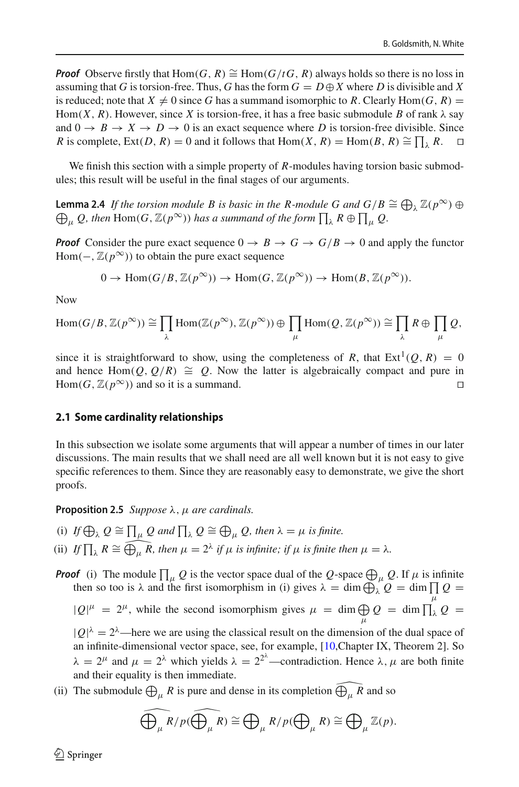*Proof* Observe firstly that Hom(*G*, *R*) ≅ Hom( $G/tG$ , *R*) always holds so there is no loss in assuming that *G* is torsion-free. Thus, *G* has the form  $G = D \oplus X$  where *D* is divisible and *X* is reduced; note that  $X \neq 0$  since *G* has a summand isomorphic to *R*. Clearly Hom(*G*, *R*) = Hom(*X*, *R*). However, since *X* is torsion-free, it has a free basic submodule *B* of rank  $\lambda$  say and  $0 \rightarrow B \rightarrow X \rightarrow D \rightarrow 0$  is an exact sequence where *D* is torsion-free divisible. Since *R* is complete, Ext(*D*, *R*) = 0 and it follows that Hom(*X*, *R*) = Hom(*B*, *R*)  $\cong \prod_{\lambda} R$ .  $\Box$ 

<span id="page-4-1"></span>We finish this section with a simple property of *R*-modules having torsion basic submodules; this result will be useful in the final stages of our arguments.

**Lemma 2.4** *If the torsion module B is basic in the R-module G and*  $G/B \cong \bigoplus_{\lambda} \mathbb{Z}(p^{\infty}) \oplus$  $\bigoplus_{\mu} Q$ , then  $\text{Hom}(G, \mathbb{Z}(p^{\infty}))$  has a summand of the form  $\prod_{\lambda} R \oplus \prod_{\mu} Q$ .

*Proof* Consider the pure exact sequence  $0 \rightarrow B \rightarrow G \rightarrow G/B \rightarrow 0$  and apply the functor Hom( $\overline{-}$ ,  $\mathbb{Z}(p^{\infty})$ ) to obtain the pure exact sequence

$$
0 \to \text{Hom}(G/B, \mathbb{Z}(p^{\infty})) \to \text{Hom}(G, \mathbb{Z}(p^{\infty})) \to \text{Hom}(B, \mathbb{Z}(p^{\infty})).
$$

Now

$$
\mathrm{Hom}(G/B, \mathbb{Z}(p^{\infty})) \cong \prod_{\lambda} \mathrm{Hom}(\mathbb{Z}(p^{\infty}), \mathbb{Z}(p^{\infty})) \oplus \prod_{\mu} \mathrm{Hom}(Q, \mathbb{Z}(p^{\infty})) \cong \prod_{\lambda} R \oplus \prod_{\mu} Q,
$$

since it is straightforward to show, using the completeness of *R*, that  $Ext<sup>1</sup>(Q, R) = 0$ and hence Hom(*Q*, *Q*/*R*)  $\cong$  *Q*. Now the latter is algebraically compact and pure in Hom(*G*  $\mathbb{Z}(p^{\infty})$ ) and so it is a summand Hom(*G*,  $\mathbb{Z}(p^{\infty})$ ) and so it is a summand.

#### **2.1 Some cardinality relationships**

In this subsection we isolate some arguments that will appear a number of times in our later discussions. The main results that we shall need are all well known but it is not easy to give specific references to them. Since they are reasonably easy to demonstrate, we give the short proofs.

<span id="page-4-0"></span>**Proposition 2.5** *Suppose*  $\lambda$ ,  $\mu$  *are cardinals.* 

and their equality is then immediate.

- (i) If  $\bigoplus_{\lambda} Q \cong \prod_{\mu} Q$  and  $\prod_{\lambda} Q \cong \bigoplus_{\mu} Q$ , then  $\lambda = \mu$  is finite.
- (ii) *If*  $\prod_{\lambda} R \cong \widehat{\bigoplus_{\mu} R}$ , then  $\mu = 2^{\lambda}$  *if*  $\mu$  *is infinite; if*  $\mu$  *is finite then*  $\mu = \lambda$ *.*

**Proof** (i) The module  $\prod_{\mu} Q$  is the vector space dual of the *Q*-space  $\bigoplus_{\mu} Q$ . If  $\mu$  is infinite then so too is  $\lambda$  and the first isomorphism in (i) gives  $\lambda = \dim \bigoplus_{\lambda} Q = \dim \prod Q =$ μ  $|Q|^{\mu} = 2^{\mu}$ , while the second isomorphism gives  $\mu = \dim \bigoplus$  $\bigoplus_\mu \mathcal{Q} \;=\; \dim \prod_\lambda \mathcal{Q} \;=\;$  $|Q|^{\lambda} = 2^{\lambda}$ —here we are using the classical result on the dimension of the dual space of an infinite-dimensional vector space, see, for example, [\[10,](#page-13-6)Chapter IX, Theorem 2]. So  $\lambda = 2^{\mu}$  and  $\mu = 2^{\lambda}$  which yields  $\lambda = 2^{2^{\lambda}}$ —contradiction. Hence  $\lambda, \mu$  are both finite

(ii) The submodule  $\bigoplus_{\mu} R$  is pure and dense in its completion  $\widehat{\bigoplus_{\mu} R}$  and so

$$
\widehat{\bigoplus_{\mu} R/p}(\widehat{\bigoplus_{\mu} R}) \cong \bigoplus_{\mu} R/p(\bigoplus_{\mu} R) \cong \bigoplus_{\mu} \mathbb{Z}(p).
$$

 $\circledcirc$  Springer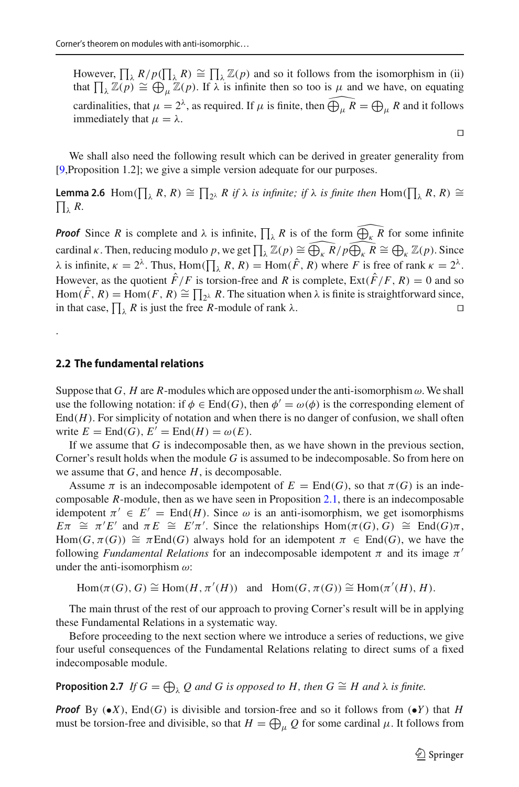However,  $\prod_{\lambda} R/p(\prod_{\lambda} R) \cong \prod_{\lambda} \mathbb{Z}(p)$  and so it follows from the isomorphism in (ii) that  $\prod_{\lambda} \mathbb{Z}(p) \cong \bigoplus_{\mu} \mathbb{Z}(p)$ . If  $\lambda$  is infinite then so too is  $\mu$  and we have, on equating cardinalities, that  $\mu = 2^{\lambda}$ , as required. If  $\mu$  is finite, then  $\widehat{\bigoplus_{\mu} R} = \bigoplus_{\mu} R$  and it follows immediately that  $\mu = \lambda$ .

<span id="page-5-0"></span>We shall also need the following result which can be derived in greater generality from [\[9](#page-13-7),Proposition 1.2]; we give a simple version adequate for our purposes.

**Lemma 2.6** Hom( $\prod_{\lambda} R$ ,  $R$ )  $\cong \prod_{2^{\lambda}} R$  if  $\lambda$  is infinite; if  $\lambda$  is finite then  $\text{Hom}(\prod_{\lambda} R, R)$   $\cong$  $\prod_{\lambda} R$ .

*Proof* Since *R* is complete and  $\lambda$  is infinite,  $\prod_{\lambda} R$  is of the form  $\widehat{\bigoplus_{\kappa} R}$  for some infinite cardinal *κ*. Then, reducing modulo *p*, we get  $\prod_{\lambda} \mathbb{Z}(p) \cong \widehat{\bigoplus_{\kappa} R/p \widehat{\bigoplus_{\kappa} R}} \cong \bigoplus_{\kappa} \mathbb{Z}(p)$ . Since  $\lambda$  is infinite,  $\kappa = 2^{\lambda}$ . Thus, Hom( $\prod_{\lambda} R$ , R) = Hom( $\hat{F}$ , R) where *F* is free of rank  $\kappa = 2^{\lambda}$ . However, as the quotient  $\hat{F}/F$  is torsion-free and *R* is complete,  $Ext(\hat{F}/F, R) = 0$  and so Hom(*F*, *R*) = Hom(*F*, *R*)  $\cong \prod_{2\lambda} R$ . The situation when  $\lambda$  is finite is straightforward since, in that case,  $\prod_{\lambda} R$  is just the free *R*-module of rank  $\lambda$ .

#### **2.2 The fundamental relations**

.

Suppose that *G*, *H* are *R*-modules which are opposed under the anti-isomorphism  $\omega$ . We shall use the following notation: if  $\phi \in \text{End}(G)$ , then  $\phi' = \omega(\phi)$  is the corresponding element of  $\text{End}(H)$ . For simplicity of notation and when there is no danger of confusion, we shall often write  $E = \text{End}(G), E' = \text{End}(H) = \omega(E).$ 

If we assume that *G* is indecomposable then, as we have shown in the previous section, Corner's result holds when the module *G* is assumed to be indecomposable. So from here on we assume that *G*, and hence *H*, is decomposable.

Assume  $\pi$  is an indecomposable idempotent of  $E = \text{End}(G)$ , so that  $\pi(G)$  is an indecomposable *R*-module, then as we have seen in Proposition [2.1,](#page-3-0) there is an indecomposable idempotent  $\pi' \in E' = \text{End}(H)$ . Since  $\omega$  is an anti-isomorphism, we get isomorphisms  $E\pi \cong \pi'E'$  and  $\pi E \cong E'\pi'$ . Since the relationships  $\text{Hom}(\pi(G), G) \cong \text{End}(G)\pi$ , Hom(*G*,  $\pi(G)$ )  $\cong$   $\pi$ End(*G*) always hold for an idempotent  $\pi \in$  End(*G*), we have the following *Fundamental Relations* for an indecomposable idempotent  $\pi$  and its image  $\pi'$ under the anti-isomorphism  $\omega$ :

$$
\text{Hom}(\pi(G), G) \cong \text{Hom}(H, \pi'(H)) \text{ and } \text{Hom}(G, \pi(G)) \cong \text{Hom}(\pi'(H), H).
$$

The main thrust of the rest of our approach to proving Corner's result will be in applying these Fundamental Relations in a systematic way.

Before proceeding to the next section where we introduce a series of reductions, we give four useful consequences of the Fundamental Relations relating to direct sums of a fixed indecomposable module.

<span id="page-5-1"></span>**Proposition 2.7** *If*  $G = \bigoplus_{\lambda} Q$  and G is opposed to H, then  $G \cong H$  and  $\lambda$  is finite.

*Proof* By  $(\bullet X)$ , End(*G*) is divisible and torsion-free and so it follows from  $(\bullet Y)$  that *H* must be torsion-free and divisible, so that  $H = \bigoplus_{\mu} Q$  for some cardinal  $\mu$ . It follows from

 $\Box$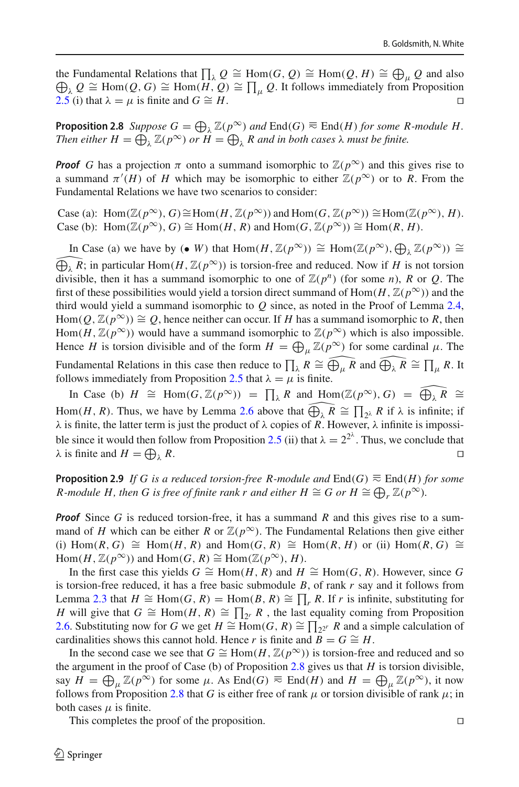the Fundamental Relations that  $\prod_{\lambda} Q \cong \text{Hom}(G, Q) \cong \text{Hom}(Q, H) \cong \bigoplus_{\mu} Q$  and also  $\bigoplus_{\lambda} Q \cong \text{Hom}(Q, G) \cong \text{Hom}(H, Q) \cong \prod_{\mu} Q$ . It follows immediately from Proposition [2.5](#page-4-0) (i) that  $\lambda = \mu$  is finite and *G* ≃ *H*.

<span id="page-6-0"></span>**Proposition 2.8** *Suppose*  $G = \bigoplus_{\lambda} \mathbb{Z}(p^{\infty})$  *and*  $\text{End}(G) \equiv \text{End}(H)$  *for some R-module H. Then either*  $H = \bigoplus_{\lambda} \mathbb{Z}(p^{\infty})$  *or*  $H = \bigoplus_{\lambda} R$  *and in both cases*  $\lambda$  *must be finite.* 

*Proof G* has a projection  $\pi$  onto a summand isomorphic to  $\mathbb{Z}(p^{\infty})$  and this gives rise to a summand  $\pi'(H)$  of *H* which may be isomorphic to either  $\mathbb{Z}(p^{\infty})$  or to *R*. From the Fundamental Relations we have two scenarios to consider:

Case (a): Hom( $\mathbb{Z}(p^{\infty})$ , *G*) ≅Hom(*H*,  $\mathbb{Z}(p^{\infty})$ ) and Hom(*G*,  $\mathbb{Z}(p^{\infty})$ ) ≅Hom( $\mathbb{Z}(p^{\infty})$ , *H*). Case (b): Hom( $\mathbb{Z}(p^{\infty})$ , *G*)  $\cong$  Hom(*H*, *R*) and Hom(*G*,  $\mathbb{Z}(p^{\infty})$ )  $\cong$  Hom(*R*, *H*).

In Case (a) we have by (• *W*) that Hom(*H*,  $\mathbb{Z}(p^{\infty})$ ) ≅ Hom( $\mathbb{Z}(p^{\infty})$ ,  $\bigoplus_{\lambda} \mathbb{Z}(p^{\infty})$ ) ≅  $\bigoplus_{\lambda} R$ ; in particular Hom(*H*,  $\mathbb{Z}(p^{\infty})$ ) is torsion-free and reduced. Now if *H* is not torsion  $\widehat{\bigoplus_{\lambda} R}$ ; in particular Hom $(H,\mathbb{Z}(p^{\infty}))$  is torsion-free and reduced. Now if *H* is not torsion divisible, then it has a summand isomorphic to one of  $\mathbb{Z}(p^n)$  (for some *n*), *R* or *O*. The first of these possibilities would yield a torsion direct summand of Hom $(H, \mathbb{Z}(p^{\infty}))$  and the third would yield a summand isomorphic to *Q* since, as noted in the Proof of Lemma [2.4,](#page-4-1) Hom( $Q$ ,  $\mathbb{Z}(p^{\infty})$ )  $\cong Q$ , hence neither can occur. If *H* has a summand isomorphic to *R*, then Hom(*H*,  $\mathbb{Z}(p^{\infty})$ ) would have a summand isomorphic to  $\mathbb{Z}(p^{\infty})$  which is also impossible. Hence *H* is torsion divisible and of the form  $H = \bigoplus_{\mu} \mathbb{Z}(p^{\infty})$  for some cardinal  $\mu$ . The Fundamental Relations in this case then reduce to  $\prod_{\lambda} R \cong \widehat{\bigoplus_{\mu} R}$  and  $\widehat{\bigoplus_{\lambda} R} \cong \prod_{\mu} R$ . It follows immediately from Proposition [2.5](#page-4-0) that  $\lambda = \mu$  is finite.

In Case (b)  $H \cong \text{Hom}(G, \mathbb{Z}(p^{\infty})) = \prod_{\lambda} R$  and  $\text{Hom}(\mathbb{Z}(p^{\infty}), G) = \widehat{\bigoplus_{\lambda} R} \cong$ Hom(*H*, *R*). Thus, we have by Lemma [2.6](#page-5-0) above that  $\widehat{\bigoplus_{\lambda} R} \cong \prod_{2^{\lambda}} R$  if  $\lambda$  is infinite; if  $\lambda$  is finite, the latter term is just the product of  $\lambda$  copies of R. However,  $\lambda$  infinite is impossi-ble since it would then follow from Proposition [2.5](#page-4-0) (ii) that  $\lambda = 2^{2^{\lambda}}$ . Thus, we conclude that  $\lambda$  is finite and  $H = \bigoplus$  $\lambda$  *R*.

<span id="page-6-1"></span>**Proposition 2.9** *If G is a reduced torsion-free R-module and*  $End(G)$   $\equiv$   $End(H)$  *for some R-module H, then G is free of finite rank r and either*  $H \cong G$  *or*  $H \cong \bigoplus_r \mathbb{Z}(p^\infty)$ *.* 

*Proof* Since *G* is reduced torsion-free, it has a summand *R* and this gives rise to a summand of *H* which can be either *R* or  $\mathbb{Z}(p^{\infty})$ . The Fundamental Relations then give either  $(i)$  Hom(*R*, *G*)  $\cong$  Hom(*H*, *R*) and Hom(*G*, *R*)  $\cong$  Hom(*R*, *H*) or (ii) Hom(*R*, *G*)  $\cong$  $Hom(H, \mathbb{Z}(p^{\infty}))$  and  $Hom(G, R) \cong Hom(\mathbb{Z}(p^{\infty}), H)$ .

In the first case this yields *G*  $\cong$  Hom(*H*, *R*) and *H*  $\cong$  Hom(*G*, *R*). However, since *G* is torsion-free reduced, it has a free basic submodule *B*, of rank *r* say and it follows from Lemma [2.3](#page-3-1) that *H*  $\cong$  Hom(*G*, *R*) = Hom(*B*, *R*)  $\cong \prod_r R$ . If *r* is infinite, substituting for *H* will give that  $G \cong \text{Hom}(H, R) \cong \prod_{2^r} R$ , the last equality coming from Proposition [2.6.](#page-5-0) Substituting now for *G* we get *H*  $\cong$  Hom(*G*, *R*)  $\cong \prod_{2^{2^r}} R$  and a simple calculation of cardinalities shows this cannot hold. Hence *r* is finite and  $B = G \cong H$ .

In the second case we see that  $G \cong \text{Hom}(H, \mathbb{Z}(p^{\infty}))$  is torsion-free and reduced and so the argument in the proof of Case (b) of Proposition [2.8](#page-6-0) gives us that *H* is torsion divisible, say  $H = \bigoplus_{\mu} \mathbb{Z}(p^{\infty})$  for some  $\mu$ . As End(*G*)  $\equiv$  End(*H*) and  $H = \bigoplus_{\mu} \mathbb{Z}(p^{\infty})$ , it now follows from Proposition [2.8](#page-6-0) that *G* is either free of rank  $\mu$  or torsion divisible of rank  $\mu$ ; in both cases  $\mu$  is finite.

<span id="page-6-2"></span>This completes the proof of the proposition.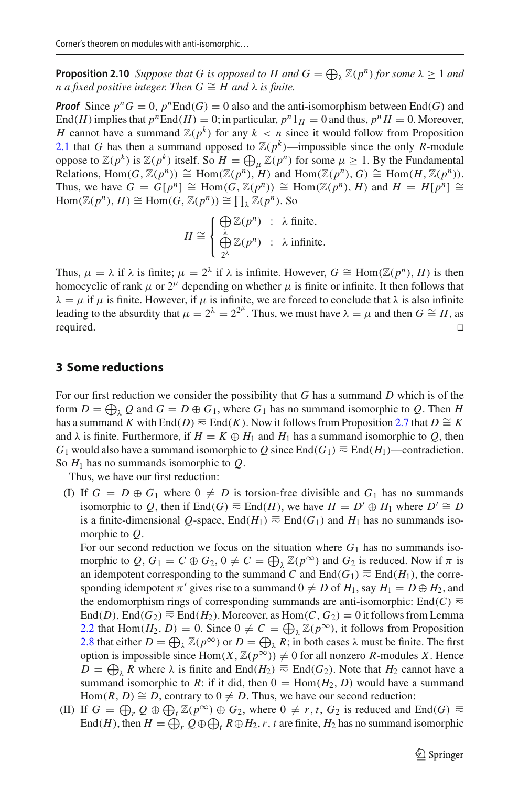**Proposition 2.10** *Suppose that G is opposed to H and*  $G = \bigoplus_{\lambda} \mathbb{Z}(p^n)$  *for some*  $\lambda \geq 1$  *and n* a fixed positive integer. Then  $G \cong H$  and  $\lambda$  is finite.

*Proof* Since  $p^n G = 0$ ,  $p^n \text{End}(G) = 0$  also and the anti-isomorphism between End(*G*) and End(*H*) implies that  $p^n$ End(*H*) = 0; in particular,  $p^n 1_H = 0$  and thus,  $p^n H = 0$ . Moreover, *H* cannot have a summand  $\mathbb{Z}(p^k)$  for any  $k < n$  since it would follow from Proposition [2.1](#page-3-0) that *G* has then a summand opposed to  $\mathbb{Z}(p^k)$ —impossible since the only *R*-module oppose to  $\mathbb{Z}(p^k)$  is  $\mathbb{Z}(p^k)$  itself. So  $H = \bigoplus_{\mu} \mathbb{Z}(p^n)$  for some  $\mu \geq 1$ . By the Fundamental Relations, Hom(*G*,  $\mathbb{Z}(p^n) \cong \text{Hom}(\mathbb{Z}(p^n), H)$  and  $\text{Hom}(\mathbb{Z}(p^n), G) \cong \text{Hom}(H, \mathbb{Z}(p^n))$ . Thus, we have  $G = G[p^n] \cong Hom(G, \mathbb{Z}(p^n)) \cong Hom(\mathbb{Z}(p^n), H)$  and  $H = H[p^n] \cong$  $\text{Hom}(\mathbb{Z}(p^n), H) \cong \text{Hom}(G, \mathbb{Z}(p^n)) \cong \prod_{\lambda} \mathbb{Z}(p^n)$ . So

$$
H \cong \begin{cases} \bigoplus_{\lambda} \mathbb{Z}(p^n) & : \lambda \text{ finite,} \\ \bigoplus_{2^{\lambda}} \mathbb{Z}(p^n) & : \lambda \text{ infinite.} \end{cases}
$$

Thus,  $\mu = \lambda$  if  $\lambda$  is finite;  $\mu = 2^{\lambda}$  if  $\lambda$  is infinite. However,  $G \cong \text{Hom}(\mathbb{Z}(p^n), H)$  is then homocyclic of rank  $\mu$  or  $2^{\mu}$  depending on whether  $\mu$  is finite or infinite. It then follows that  $\lambda = \mu$  if  $\mu$  is finite. However, if  $\mu$  is infinite, we are forced to conclude that  $\lambda$  is also infinite leading to the absurdity that  $\mu = 2^{\lambda} = 2^{2^{\mu}}$ . Thus, we must have  $\lambda = \mu$  and then  $G \cong H$ , as required.

#### **3 Some reductions**

For our first reduction we consider the possibility that *G* has a summand *D* which is of the form  $D = \bigoplus_{\lambda} Q$  and  $G = D \oplus G_1$ , where  $G_1$  has no summand isomorphic to  $Q$ . Then *H* has a summand *K* with End(*D*)  $\equiv$  End(*K*). Now it follows from Proposition [2.7](#page-5-1) that *D*  $\cong$  *K* and  $\lambda$  is finite. Furthermore, if  $H = K \oplus H_1$  and  $H_1$  has a summand isomorphic to *Q*, then *G*<sub>1</sub> would also have a summand isomorphic to *Q* since End(*G*<sub>1</sub>)  $\equiv$  End(*H*<sub>1</sub>)—contradiction. So *H*<sup>1</sup> has no summands isomorphic to *Q*.

Thus, we have our first reduction:

(I) If  $G = D \oplus G_1$  where  $0 \neq D$  is torsion-free divisible and  $G_1$  has no summands isomorphic to *Q*, then if End(*G*)  $\equiv$  End(*H*), we have *H* = *D'*  $\oplus$  *H*<sub>1</sub> where *D'*  $\cong$  *D* is a finite-dimensional *Q*-space, End( $H_1$ )  $\equiv$  End( $G_1$ ) and  $H_1$  has no summands isomorphic to *Q*.

For our second reduction we focus on the situation where  $G_1$  has no summands isomorphic to  $Q$ ,  $G_1 = C \oplus G_2$ ,  $0 \neq C = \bigoplus_{\lambda} \mathbb{Z}(p^{\infty})$  and  $G_2$  is reduced. Now if  $\pi$  is an idempotent corresponding to the summand *C* and  $\text{End}(G_1) \equiv \text{End}(H_1)$ , the corresponding idempotent  $\pi'$  gives rise to a summand  $0 \neq D$  of  $H_1$ , say  $H_1 = D \oplus H_2$ , and the endomorphism rings of corresponding summands are anti-isomorphic: End( $C$ )  $\equiv$ End(*D*), End( $G_2$ )  $\equiv$  End( $H_2$ ). Moreover, as Hom(*C*,  $G_2$ ) = 0 it follows from Lemma [2.2](#page-3-2) that Hom( $H_2$ ,  $D$ ) = 0. Since  $0 \neq C = \bigoplus_{\lambda} \mathbb{Z}(p^{\infty})$ , it follows from Proposition [2.8](#page-6-0) that either  $D = \bigoplus_{\lambda} \mathbb{Z}(p^{\infty})$  or  $D = \bigoplus_{\lambda} R$ ; in both cases  $\lambda$  must be finite. The first option is impossible since  $Hom(X, \mathbb{Z}(p^{\infty})) \neq 0$  for all nonzero *R*-modules *X*. Hence *D* =  $\bigoplus_{\lambda}$  *R* where  $\lambda$  is finite and End(*H*<sub>2</sub>) ≂ End(*G*<sub>2</sub>). Note that *H*<sub>2</sub> cannot have a summand isomorphic to *R*: if it did, then  $0 = \text{Hom}(H_2, D)$  would have a summand Hom(*R*, *D*)  $\cong$  *D*, contrary to  $0 \neq D$ . Thus, we have our second reduction:

(II) If  $G = \bigoplus_r Q \oplus \bigoplus_t \mathbb{Z}(p^{\infty}) \oplus G_2$ , where  $0 \neq r, t, G_2$  is reduced and End(*G*)  $\equiv$ End(*H*), then  $H = \bigoplus_r Q \oplus \bigoplus_t R \oplus H_2$ , *r*, *t* are finite,  $H_2$  has no summand isomorphic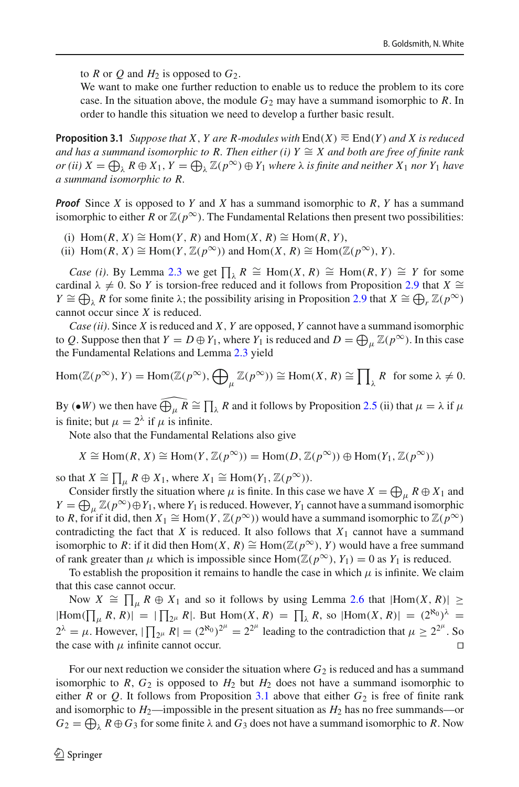to *R* or *Q* and  $H_2$  is opposed to  $G_2$ .

We want to make one further reduction to enable us to reduce the problem to its core case. In the situation above, the module  $G_2$  may have a summand isomorphic to  $R$ . In order to handle this situation we need to develop a further basic result.

<span id="page-8-0"></span>**Proposition 3.1** *Suppose that X, Y are R-modules with*  $End(X) \equiv End(Y)$  *and X is reduced and has a summand isomorphic to R. Then either (i) Y*  $\cong$  *X and both are free of finite rank*  $\rho(r(ii) \ X = \bigoplus_{\lambda} R \oplus X_1, Y = \bigoplus_{\lambda} \mathbb{Z}(p^{\infty}) \oplus Y_1$  where  $\lambda$  *is finite and neither*  $X_1$  *nor*  $Y_1$  *have a summand isomorphic to R.*

*Proof* Since *X* is opposed to *Y* and *X* has a summand isomorphic to *R*, *Y* has a summand isomorphic to either *R* or  $\mathbb{Z}(p^{\infty})$ . The Fundamental Relations then present two possibilities:

- (i) Hom(*R*, *X*) ≅ Hom(*Y*, *R*) and Hom(*X*, *R*) ≅ Hom(*R*, *Y*),
- (ii) Hom $(R, X) \cong \text{Hom}(Y, \mathbb{Z}(p^{\infty}))$  and  $\text{Hom}(X, R) \cong \text{Hom}(\mathbb{Z}(p^{\infty}), Y)$ .

*Case (i)*. By Lemma [2.3](#page-3-1) we get  $\prod_{\lambda} R \cong \text{Hom}(X, R) \cong \text{Hom}(R, Y) \cong Y$  for some cardinal  $\lambda \neq 0$ . So *Y* is torsion-free reduced and it follows from Proposition [2.9](#page-6-1) that *X*  $\cong$ *Y*  $\cong \bigoplus_{\lambda} R$  for some finite  $\lambda$ ; the possibility arising in Proposition [2.9](#page-6-1) that *X*  $\cong \bigoplus_{r} \mathbb{Z}(p^{\infty})$ cannot occur since *X* is reduced.

*Case (ii)*. Since *X* is reduced and *X*, *Y* are opposed, *Y* cannot have a summand isomorphic to *Q*. Suppose then that  $Y = D \oplus Y_1$ , where  $Y_1$  is reduced and  $D = \bigoplus_{\mu} \mathbb{Z}(p^{\infty})$ . In this case the Fundamental Relations and Lemma [2.3](#page-3-1) yield

$$
\operatorname{Hom}(\mathbb{Z}(p^{\infty}), Y) = \operatorname{Hom}(\mathbb{Z}(p^{\infty}), \bigoplus_{\mu} \mathbb{Z}(p^{\infty})) \cong \operatorname{Hom}(X, R) \cong \prod_{\lambda} R \text{ for some } \lambda \neq 0.
$$

By (•*W*) we then have  $\widehat{\bigoplus_{\mu} R} \cong \prod_{\lambda} R$  and it follows by Proposition [2.5](#page-4-0) (ii) that  $\mu = \lambda$  if  $\mu$ is finite; but  $\mu = 2^{\lambda}$  if  $\mu$  is infinite.

Note also that the Fundamental Relations also give

$$
X \cong \text{Hom}(R, X) \cong \text{Hom}(Y, \mathbb{Z}(p^{\infty})) = \text{Hom}(D, \mathbb{Z}(p^{\infty})) \oplus \text{Hom}(Y_1, \mathbb{Z}(p^{\infty}))
$$

so that  $X \cong \prod_{\mu} R \oplus X_1$ , where  $X_1 \cong \text{Hom}(Y_1, \mathbb{Z}(p^{\infty}))$ .

Consider firstly the situation where  $\mu$  is finite. In this case we have  $X = \bigoplus_{\mu} R \oplus X_1$  and  $Y = \bigoplus_{\mu} \mathbb{Z}(p^{\infty}) \oplus Y_1$ , where  $Y_1$  is reduced. However,  $Y_1$  cannot have a summand isomorphic to *R*, for if it did, then  $X_1 \cong \text{Hom}(Y, \mathbb{Z}(p^\infty))$  would have a summand isomorphic to  $\mathbb{Z}(p^\infty)$ contradicting the fact that  $X$  is reduced. It also follows that  $X_1$  cannot have a summand isomorphic to *R*: if it did then Hom(*X*, *R*)  $\cong$  Hom( $\mathbb{Z}(p^{\infty})$ , *Y*) would have a free summand of rank greater than  $\mu$  which is impossible since Hom( $\mathbb{Z}(p^{\infty})$ ,  $Y_1$ ) = 0 as  $Y_1$  is reduced.

To establish the proposition it remains to handle the case in which  $\mu$  is infinite. We claim that this case cannot occur.

Now  $X \cong \prod_{\mu} R \oplus X_1$  and so it follows by using Lemma [2.6](#page-5-0) that  $|\text{Hom}(X, R)| \ge$  $|\text{Hom}(\prod_{\mu} R, R)| = |\prod_{2^{\mu}} R|$ . But  $\text{Hom}(X, R) = \prod_{\lambda} R$ , so  $|\text{Hom}(X, R)| = (2^{\aleph_0})^{\lambda}$  $2^{\lambda} = \mu$ . However,  $|\prod_{2^{\mu}} R| = (2^{\aleph_0})^{2^{\mu}} = 2^{2^{\mu}}$  leading to the contradiction that  $\mu \ge 2^{2^{\mu}}$ . So the case with  $\mu$  infinite cannot occur.

For our next reduction we consider the situation where  $G_2$  is reduced and has a summand isomorphic to *R*,  $G_2$  is opposed to  $H_2$  but  $H_2$  does not have a summand isomorphic to either *R* or *Q*. It follows from Proposition [3.1](#page-8-0) above that either  $G_2$  is free of finite rank and isomorphic to *H*2—impossible in the present situation as *H*<sup>2</sup> has no free summands—or  $G_2 = \bigoplus_{\lambda} R \oplus G_3$  for some finite  $\lambda$  and  $G_3$  does not have a summand isomorphic to *R*. Now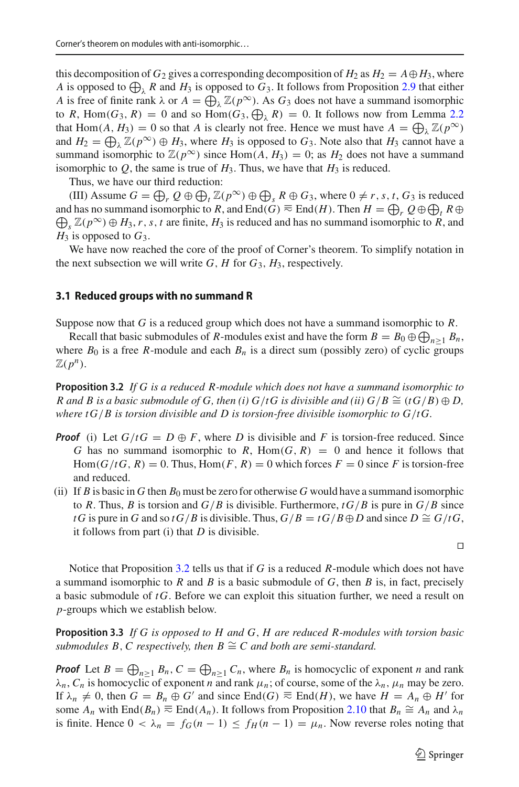this decomposition of  $G_2$  gives a corresponding decomposition of  $H_2$  as  $H_2 = A \oplus H_3$ , where *A* is opposed to  $\bigoplus_{\lambda} R$  and  $H_3$  is opposed to  $G_3$ . It follows from Proposition [2.9](#page-6-1) that either *A* is free of finite rank  $\lambda$  or  $A = \bigoplus_{\lambda} \mathbb{Z}(p^{\infty})$ . As  $G_3$  does not have a summand isomorphic to *R*, Hom(*G*<sub>3</sub>, *R*) = 0 and so Hom(*G*<sub>3</sub>,  $\bigoplus_{\lambda}$  *R*) = 0. It follows now from Lemma [2.2](#page-3-2) that Hom(*A*, *H*<sub>3</sub>) = 0 so that *A* is clearly not free. Hence we must have  $A = \bigoplus_{\lambda} \mathbb{Z}(p^{\infty})$ and  $H_2 = \bigoplus_{\lambda} \mathbb{Z}(p^{\infty}) \oplus H_3$ , where  $H_3$  is opposed to  $G_3$ . Note also that  $H_3$  cannot have a summand isomorphic to  $\mathbb{Z}(p^{\infty})$  since Hom(*A*, *H*<sub>3</sub>) = 0; as *H*<sub>2</sub> does not have a summand isomorphic to  $Q$ , the same is true of  $H_3$ . Thus, we have that  $H_3$  is reduced.

Thus, we have our third reduction:

(III) Assume  $G = \bigoplus_r Q \oplus \bigoplus_t \mathbb{Z}(p^{\infty}) \oplus \bigoplus_s R \oplus G_3$ , where  $0 \neq r$ , *s*, *t*, *G*<sub>3</sub> is reduced and has no summand isomorphic to *R*, and  $\text{End}(G) \equiv \text{End}(H)$ . Then  $H = \bigoplus_r Q \oplus \bigoplus_t R \oplus$  $\bigoplus_{s} \mathbb{Z}(p^{\infty}) \oplus H_3$ , *r*, *s*, *t* are finite,  $H_3$  is reduced and has no summand isomorphic to *R*, and  $H_3$  is opposed to  $G_3$ .

We have now reached the core of the proof of Corner's theorem. To simplify notation in the next subsection we will write  $G$ ,  $H$  for  $G_3$ ,  $H_3$ , respectively.

#### **3.1 Reduced groups with no summand R**

Suppose now that *G* is a reduced group which does not have a summand isomorphic to *R*.

Recall that basic submodules of *R*-modules exist and have the form  $B = B_0 \oplus \bigoplus_{n \geq 1} B_n$ , where  $B_0$  is a free *R*-module and each  $B_n$  is a direct sum (possibly zero) of cyclic groups  $\mathbb{Z}(p^n)$ .

<span id="page-9-0"></span>**Proposition 3.2** *If G is a reduced R-module which does not have a summand isomorphic to R* and *B* is a basic submodule of *G*, then (i)  $G/tG$  is divisible and (ii)  $G/B \cong (tG/B) \oplus D$ , *where tG*/*B is torsion divisible and D is torsion-free divisible isomorphic to G*/*tG.*

- *Proof* (i) Let  $G/tG = D \oplus F$ , where *D* is divisible and *F* is torsion-free reduced. Since *G* has no summand isomorphic to *R*, Hom $(G, R) = 0$  and hence it follows that  $Hom(G/tG, R) = 0$ . Thus,  $Hom(F, R) = 0$  which forces  $F = 0$  since F is torsion-free and reduced.
- (ii) If *B* is basic in *G* then  $B_0$  must be zero for otherwise *G* would have a summand isomorphic to *R*. Thus, *B* is torsion and  $G/B$  is divisible. Furthermore,  $tG/B$  is pure in  $G/B$  since *tG* is pure in *G* and so *tG*/*B* is divisible. Thus,  $G/B = tG/B \oplus D$  and since  $D \cong G/tG$ , it follows from part (i) that *D* is divisible.

 $\Box$ 

Notice that Proposition [3.2](#page-9-0) tells us that if *G* is a reduced *R*-module which does not have a summand isomorphic to *R* and *B* is a basic submodule of *G*, then *B* is, in fact, precisely a basic submodule of *tG*. Before we can exploit this situation further, we need a result on *p*-groups which we establish below.

<span id="page-9-1"></span>**Proposition 3.3** *If G is opposed to H and G*, *H are reduced R-modules with torsion basic submodules B, C respectively, then B*  $\cong$  *C and both are semi-standard.* 

*Proof* Let  $B = \bigoplus_{n \geq 1} B_n$ ,  $C = \bigoplus_{n \geq 1} C_n$ , where  $B_n$  is homocyclic of exponent *n* and rank  $\lambda_n$ ,  $C_n$  is homocyclic of exponent *n* and rank  $\mu_n$ ; of course, some of the  $\lambda_n$ ,  $\mu_n$  may be zero. If  $\lambda_n \neq 0$ , then  $G = B_n \oplus G'$  and since End(*G*)  $\equiv$  End(*H*), we have  $H = A_n \oplus H'$  for some  $A_n$  with End( $B_n$ )  $\equiv$  End( $A_n$ ). It follows from Proposition [2.10](#page-6-2) that  $B_n \cong A_n$  and  $\lambda_n$ is finite. Hence  $0 < \lambda_n = f_G(n-1) \leq f_H(n-1) = \mu_n$ . Now reverse roles noting that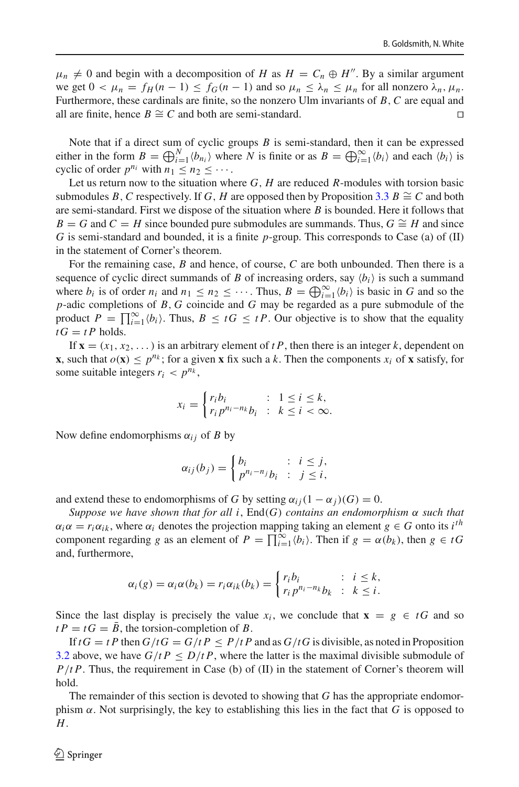$\mu_n \neq 0$  and begin with a decomposition of *H* as  $H = C_n \oplus H''$ . By a similar argument we get  $0 < \mu_n = f_H(n-1) \le f_G(n-1)$  and so  $\mu_n \le \lambda_n \le \mu_n$  for all nonzero  $\lambda_n, \mu_n$ . Furthermore, these cardinals are finite, so the nonzero Ulm invariants of *B*,*C* are equal and all are finite, hence *B*  $\cong$  *C* and both are semi-standard.

Note that if a direct sum of cyclic groups *B* is semi-standard, then it can be expressed either in the form  $B = \bigoplus_{i=1}^{N} \langle b_{n_i} \rangle$  where *N* is finite or as  $B = \bigoplus_{i=1}^{\infty} \langle b_i \rangle$  and each  $\langle b_i \rangle$  is cyclic of order  $p^{n_i}$  with  $n_1 \le n_2 \le \cdots$ .

Let us return now to the situation where *G*, *H* are reduced *R*-modules with torsion basic submodules *B*, *C* respectively. If *G*, *H* are opposed then by Proposition [3.3](#page-9-1) *B*  $\cong$  *C* and both are semi-standard. First we dispose of the situation where *B* is bounded. Here it follows that  $B = G$  and  $C = H$  since bounded pure submodules are summands. Thus,  $G \cong H$  and since *G* is semi-standard and bounded, it is a finite *p*-group. This corresponds to Case (a) of (II) in the statement of Corner's theorem.

For the remaining case, *B* and hence, of course, *C* are both unbounded. Then there is a sequence of cyclic direct summands of *B* of increasing orders, say  $\langle b_i \rangle$  is such a summand where  $b_i$  is of order  $n_i$  and  $n_1 \leq n_2 \leq \cdots$ . Thus,  $B = \bigoplus_{i=1}^{\infty} \langle b_i \rangle$  is basic in *G* and so the *p*-adic completions of *B*, *G* coincide and *G* may be regarded as a pure submodule of the product  $P = \prod_{i=1}^{\infty} \langle b_i \rangle$ . Thus,  $B \leq tG \leq tP$ . Our objective is to show that the equality  $tG = tP$  holds.

If  $\mathbf{x} = (x_1, x_2, \dots)$  is an arbitrary element of *tP*, then there is an integer *k*, dependent on **x**, such that  $o(\mathbf{x}) \leq p^{n_k}$ ; for a given **x** fix such a k. Then the components  $x_i$  of **x** satisfy, for some suitable integers  $r_i < p^{n_k}$ ,

$$
x_i = \begin{cases} r_i b_i & : 1 \le i \le k, \\ r_i p^{n_i - n_k} b_i & : k \le i < \infty. \end{cases}
$$

Now define endomorphisms  $\alpha_{ij}$  of *B* by

$$
\alpha_{ij}(b_j) = \begin{cases} b_i & \text{: } i \leq j, \\ p^{n_i - n_j} b_i & \text{: } j \leq i, \end{cases}
$$

and extend these to endomorphisms of *G* by setting  $\alpha_{ij}(1 - \alpha_j)(G) = 0$ .

*Suppose we have shown that for all i*, End(*G*) *contains an endomorphism* α *such that*  $\alpha_i \alpha = r_i \alpha_{ik}$ , where  $\alpha_i$  denotes the projection mapping taking an element  $g \in G$  onto its *i*<sup>th</sup> component regarding *g* as an element of  $P = \prod_{i=1}^{\infty} \langle b_i \rangle$ . Then if  $g = \alpha(b_k)$ , then  $g \in tG$ and, furthermore,

$$
\alpha_i(g) = \alpha_i \alpha(b_k) = r_i \alpha_{ik}(b_k) = \begin{cases} r_i b_i & \colon i \leq k, \\ r_i p^{n_i - n_k} b_k & \colon k \leq i. \end{cases}
$$

Since the last display is precisely the value  $x_i$ , we conclude that  $\mathbf{x} = g \in tG$  and so  $t P = t G = B$ , the torsion-completion of *B*.

If  $tG = tP$  then  $G/tG = G/tP \leq P/tP$  and as  $G/tG$  is divisible, as noted in Proposition [3.2](#page-9-0) above, we have  $G/tP \leq D/tP$ , where the latter is the maximal divisible submodule of *P*/*t P*. Thus, the requirement in Case (b) of (II) in the statement of Corner's theorem will hold.

The remainder of this section is devoted to showing that *G* has the appropriate endomorphism  $\alpha$ . Not surprisingly, the key to establishing this lies in the fact that *G* is opposed to *H*.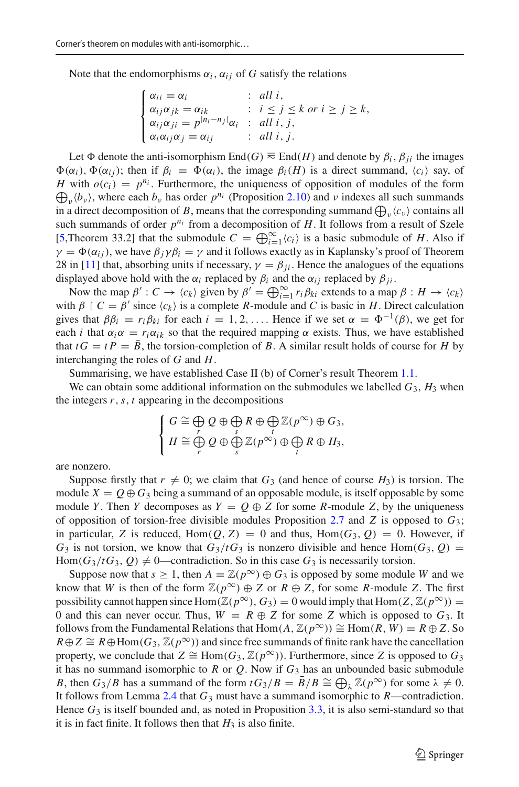Note that the endomorphisms  $\alpha_i$ ,  $\alpha_{ij}$  of *G* satisfy the relations

$$
\begin{cases}\n\alpha_{ii} = \alpha_i & \text{: all } i, \\
\alpha_{ij}\alpha_{jk} = \alpha_{ik} & \text{: } i \leq j \leq k \text{ or } i \geq j \geq k, \\
\alpha_{ij}\alpha_{ji} = p^{|n_i - n_j|}\alpha_i & \text{: all } i, j, \\
\alpha_i\alpha_{ij}\alpha_j = \alpha_{ij} & \text{: all } i, j.\n\end{cases}
$$

Let  $\Phi$  denote the anti-isomorphism End(*G*)  $\equiv$  End(*H*) and denote by  $\beta_i$ ,  $\beta_i$  the images  $\Phi(\alpha_i)$ ,  $\Phi(\alpha_i)$ ; then if  $\beta_i = \Phi(\alpha_i)$ , the image  $\beta_i(H)$  is a direct summand,  $\langle c_i \rangle$  say, of *H* with  $o(c_i) = p^{n_i}$ . Furthermore, the uniqueness of opposition of modules of the form  $\bigoplus_{\nu} \langle b_{\nu} \rangle$ , where each  $b_{\nu}$  has order  $p^{n_i}$  (Proposition [2.10\)](#page-6-2) and  $\nu$  indexes all such summands in a direct decomposition of *B*, means that the corresponding summand  $\bigoplus_{\nu} \langle c_{\nu} \rangle$  contains all such summands of order  $p^{n_i}$  from a decomposition of  $H$ . It follows from a result of Szele [\[5](#page-13-3),Theorem 33.2] that the submodule  $C = \bigoplus_{i=1}^{\infty} \langle c_i \rangle$  is a basic submodule of *H*. Also if  $\gamma = \Phi(\alpha_{ij})$ , we have  $\beta_j \gamma \beta_i = \gamma$  and it follows exactly as in Kaplansky's proof of Theorem 28 in [\[11](#page-13-5)] that, absorbing units if necessary,  $\gamma = \beta_{ii}$ . Hence the analogues of the equations displayed above hold with the  $\alpha_i$  replaced by  $\beta_i$  and the  $\alpha_{ij}$  replaced by  $\beta_{ii}$ .

Now the map  $\beta' : C \to \langle c_k \rangle$  given by  $\beta' = \bigoplus_{i=1}^{\infty} r_i \beta_{ki}$  extends to a map  $\beta : H \to \langle c_k \rangle$ with  $\beta \restriction C = \beta'$  since  $\langle c_k \rangle$  is a complete *R*-module and *C* is basic in *H*. Direct calculation gives that  $\beta \beta_i = r_i \beta_{ki}$  for each  $i = 1, 2, \ldots$ . Hence if we set  $\alpha = \Phi^{-1}(\beta)$ , we get for each *i* that  $\alpha_i \alpha = r_i \alpha_{ik}$  so that the required mapping  $\alpha$  exists. Thus, we have established that  $tG = tP = \overline{B}$ , the torsion-completion of *B*. A similar result holds of course for *H* by interchanging the roles of *G* and *H*.

Summarising, we have established Case II (b) of Corner's result Theorem [1.1.](#page-1-0)

We can obtain some additional information on the submodules we labelled  $G_3$ ,  $H_3$  when the integers  $r, s, t$  appearing in the decompositions

$$
\left\{\n\begin{array}{l}\nG \cong \bigoplus_r Q \oplus \bigoplus_s R \oplus \bigoplus_l \mathbb{Z}(p^\infty) \oplus G_3, \\
H \cong \bigoplus_r Q \oplus \bigoplus_s \mathbb{Z}(p^\infty) \oplus \bigoplus_t R \oplus H_3,\n\end{array}\n\right.
$$

are nonzero.

Suppose firstly that  $r \neq 0$ ; we claim that  $G_3$  (and hence of course  $H_3$ ) is torsion. The module  $X = Q \oplus G_3$  being a summand of an opposable module, is itself opposable by some module *Y*. Then *Y* decomposes as  $Y = Q \oplus Z$  for some *R*-module *Z*, by the uniqueness of opposition of torsion-free divisible modules Proposition [2.7](#page-5-1) and *Z* is opposed to *G*3; in particular, *Z* is reduced,  $Hom(Q, Z) = 0$  and thus,  $Hom(G_3, Q) = 0$ . However, if  $G_3$  is not torsion, we know that  $G_3/tG_3$  is nonzero divisible and hence Hom( $G_3, Q$ ) = Hom( $G_3/tG_3$ ,  $Q$ )  $\neq$  0—contradiction. So in this case  $G_3$  is necessarily torsion.

Suppose now that  $s \geq 1$ , then  $A = \mathbb{Z}(p^{\infty}) \oplus G_3$  is opposed by some module *W* and we know that *W* is then of the form  $\mathbb{Z}(p^{\infty}) \oplus Z$  or  $R \oplus Z$ , for some *R*-module *Z*. The first possibility cannot happen since Hom( $\mathbb{Z}(p^{\infty})$ ,  $G_3$ ) = 0 would imply that Hom( $Z$ ,  $\mathbb{Z}(p^{\infty})$ ) = 0 and this can never occur. Thus,  $W = R \oplus Z$  for some *Z* which is opposed to  $G_3$ . It follows from the Fundamental Relations that  $Hom(A, \mathbb{Z}(p^{\infty})) \cong Hom(R, W) = R \oplus Z$ . So  $R \oplus Z \cong R \oplus Hom(G_3, \mathbb{Z}(p^{\infty}))$  and since free summands of finite rank have the cancellation property, we conclude that  $Z \cong \text{Hom}(G_3, \mathbb{Z}(p^\infty))$ . Furthermore, since *Z* is opposed to  $G_3$ it has no summand isomorphic to  $R$  or  $Q$ . Now if  $G_3$  has an unbounded basic submodule *B*, then  $G_3/B$  has a summand of the form  $tG_3/B = \bar{B}/B \cong \bigoplus_{\lambda} \mathbb{Z}(p^{\infty})$  for some  $\lambda \neq 0$ . It follows from Lemma [2.4](#page-4-1) that *G*<sup>3</sup> must have a summand isomorphic to *R*—contradiction. Hence  $G_3$  is itself bounded and, as noted in Proposition [3.3,](#page-9-1) it is also semi-standard so that it is in fact finite. It follows then that  $H_3$  is also finite.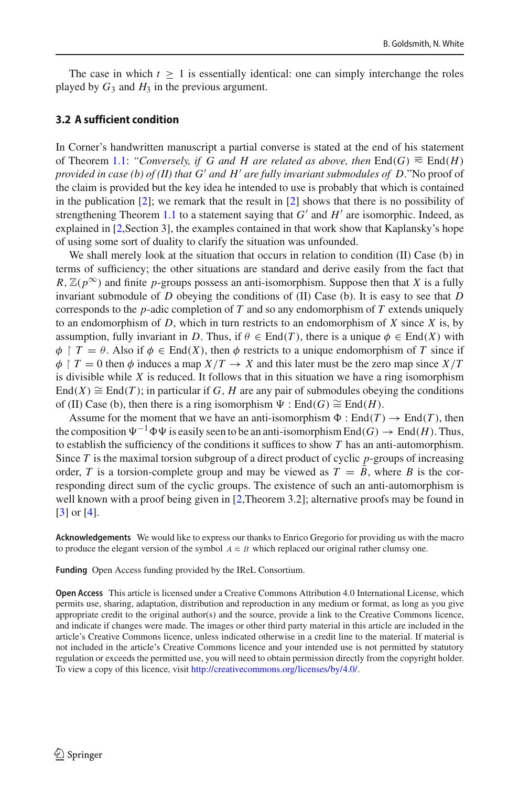The case in which  $t \geq 1$  is essentially identical: one can simply interchange the roles played by  $G_3$  and  $H_3$  in the previous argument.

#### **3.2 A sufficient condition**

In Corner's handwritten manuscript a partial converse is stated at the end of his statement of Theorem [1.1:](#page-1-0) *"Conversely, if G and H are related as above, then* End(*G*)  $\equiv$  End(*H*) *provided in case (b) of (II) that G and H are fully invariant submodules of D*."No proof of the claim is provided but the key idea he intended to use is probably that which is contained in the publication  $[2]$  $[2]$ ; we remark that the result in  $[2]$  shows that there is no possibility of strengthening Theorem [1.1](#page-1-0) to a statement saying that  $G'$  and  $H'$  are isomorphic. Indeed, as explained in [\[2,](#page-13-8)Section 3], the examples contained in that work show that Kaplansky's hope of using some sort of duality to clarify the situation was unfounded.

We shall merely look at the situation that occurs in relation to condition (II) Case (b) in terms of sufficiency; the other situations are standard and derive easily from the fact that  $R$ ,  $\mathbb{Z}(p^{\infty})$  and finite *p*-groups possess an anti-isomorphism. Suppose then that *X* is a fully invariant submodule of *D* obeying the conditions of (II) Case (b). It is easy to see that *D* corresponds to the *p*-adic completion of *T* and so any endomorphism of *T* extends uniquely to an endomorphism of *D*, which in turn restricts to an endomorphism of *X* since *X* is, by assumption, fully invariant in *D*. Thus, if  $\theta \in \text{End}(T)$ , there is a unique  $\phi \in \text{End}(X)$  with  $\phi \restriction T = \theta$ . Also if  $\phi \in \text{End}(X)$ , then  $\phi$  restricts to a unique endomorphism of *T* since if  $\phi$  | *T* = 0 then  $\phi$  induces a map *X*/*T*  $\rightarrow$  *X* and this later must be the zero map since *X*/*T* is divisible while *X* is reduced. It follows that in this situation we have a ring isomorphism End(*X*)  $\cong$  End(*T*); in particular if *G*, *H* are any pair of submodules obeying the conditions of (II) Case (b), then there is a ring isomorphism  $\Psi : \text{End}(G) \cong \text{End}(H)$ .

Assume for the moment that we have an anti-isomorphism  $\Phi : \text{End}(T) \to \text{End}(T)$ , then the composition  $\Psi^{-1} \Phi \Psi$  is easily seen to be an anti-isomorphism  $\text{End}(G) \to \text{End}(H)$ . Thus, to establish the sufficiency of the conditions it suffices to show *T* has an anti-automorphism. Since *T* is the maximal torsion subgroup of a direct product of cyclic *p*-groups of increasing order, *T* is a torsion-complete group and may be viewed as  $T = \overline{B}$ , where *B* is the corresponding direct sum of the cyclic groups. The existence of such an anti-automorphism is well known with a proof being given in [\[2](#page-13-8),Theorem 3.2]; alternative proofs may be found in [\[3](#page-13-2)] or [\[4\]](#page-13-9).

**Acknowledgements** We would like to express our thanks to Enrico Gregorio for providing us with the macro to produce the elegant version of the symbol  $A \equiv B$  which replaced our original rather clumsy one.

**Funding** Open Access funding provided by the IReL Consortium.

**Open Access** This article is licensed under a Creative Commons Attribution 4.0 International License, which permits use, sharing, adaptation, distribution and reproduction in any medium or format, as long as you give appropriate credit to the original author(s) and the source, provide a link to the Creative Commons licence, and indicate if changes were made. The images or other third party material in this article are included in the article's Creative Commons licence, unless indicated otherwise in a credit line to the material. If material is not included in the article's Creative Commons licence and your intended use is not permitted by statutory regulation or exceeds the permitted use, you will need to obtain permission directly from the copyright holder. To view a copy of this licence, visit [http://creativecommons.org/licenses/by/4.0/.](http://creativecommons.org/licenses/by/4.0/)